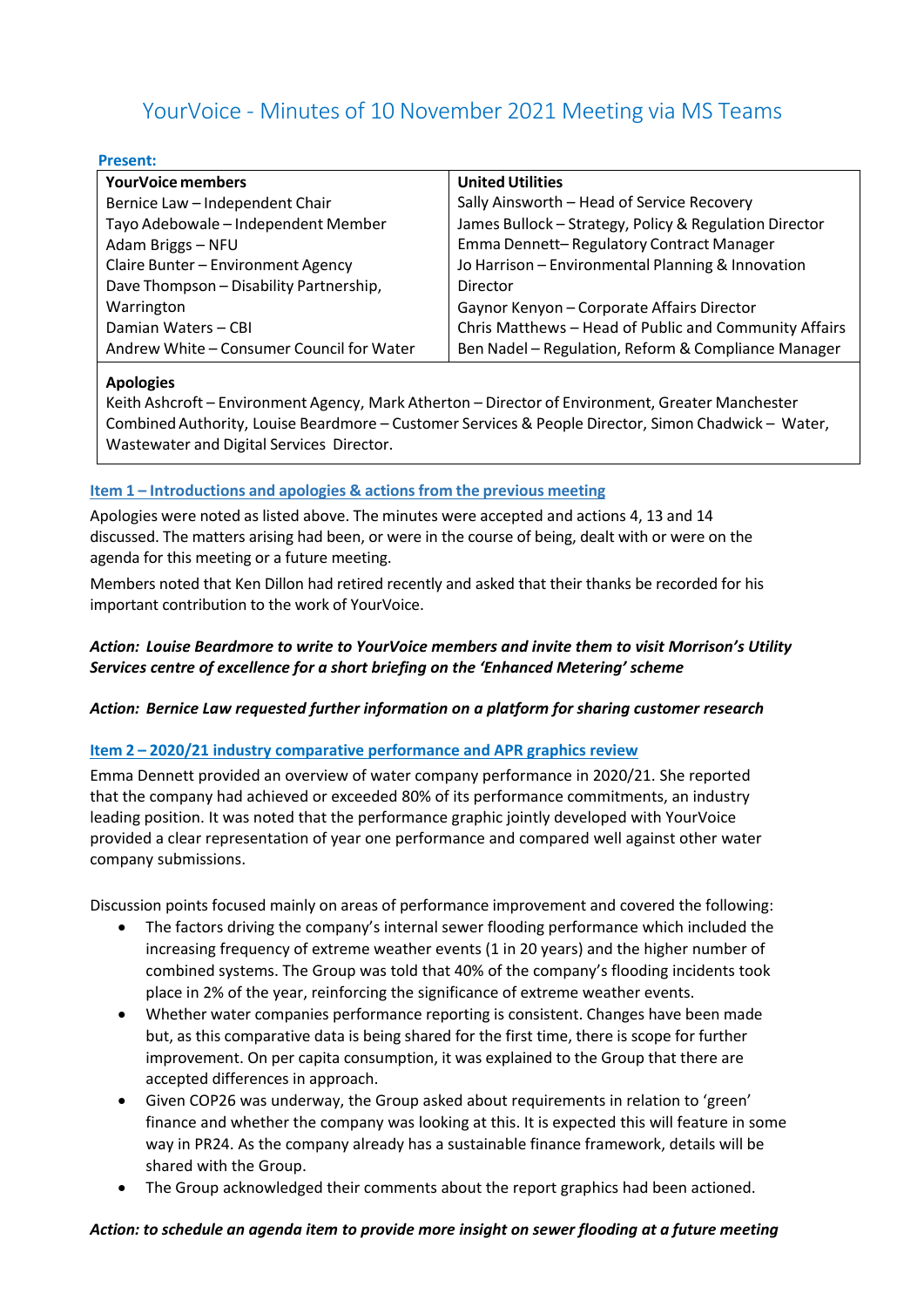# YourVoice - Minutes of 10 November 2021 Meeting via MS Teams

#### **Present:**

| <b>YourVoice members</b>                  | <b>United Utilities</b>                                |
|-------------------------------------------|--------------------------------------------------------|
| Bernice Law - Independent Chair           | Sally Ainsworth - Head of Service Recovery             |
| Tayo Adebowale - Independent Member       | James Bullock - Strategy, Policy & Regulation Director |
| Adam Briggs - NFU                         | Emma Dennett-Regulatory Contract Manager               |
| Claire Bunter - Environment Agency        | Jo Harrison - Environmental Planning & Innovation      |
| Dave Thompson - Disability Partnership,   | Director                                               |
| Warrington                                | Gaynor Kenyon - Corporate Affairs Director             |
| Damian Waters - CBI                       | Chris Matthews - Head of Public and Community Affairs  |
| Andrew White - Consumer Council for Water | Ben Nadel - Regulation, Reform & Compliance Manager    |
|                                           |                                                        |

#### **Apologies**

Keith Ashcroft – Environment Agency, Mark Atherton – Director of Environment, Greater Manchester CombinedAuthority, Louise Beardmore – Customer Services & People Director, Simon Chadwick – Water, Wastewater and Digital Services Director.

# **Item 1 – Introductions and apologies & actionsfrom the previous meeting**

Apologies were noted as listed above. The minutes were accepted and actions 4, 13 and 14 discussed. The matters arising had been, or were in the course of being, dealt with or were on the agenda for this meeting or a future meeting.

Members noted that Ken Dillon had retired recently and asked that their thanks be recorded for his important contribution to the work of YourVoice.

# *Action: Louise Beardmore to write to YourVoice members and invite them to visit Morrison's Utility Services centre of excellence for a short briefing on the 'Enhanced Metering' scheme*

#### *Action: Bernice Law requested further information on a platform for sharing customer research*

#### **Item 2 – 2020/21 industry comparative performance and APR graphics review**

Emma Dennett provided an overview of water company performance in 2020/21. She reported that the company had achieved or exceeded 80% of its performance commitments, an industry leading position. It was noted that the performance graphic jointly developed with YourVoice provided a clear representation of year one performance and compared well against other water company submissions.

Discussion points focused mainly on areas of performance improvement and covered the following:

- The factors driving the company's internal sewer flooding performance which included the increasing frequency of extreme weather events (1 in 20 years) and the higher number of combined systems. The Group was told that 40% of the company's flooding incidents took place in 2% of the year, reinforcing the significance of extreme weather events.
- Whether water companies performance reporting is consistent. Changes have been made but, as this comparative data is being shared for the first time, there is scope for further improvement. On per capita consumption, it was explained to the Group that there are accepted differences in approach.
- Given COP26 was underway, the Group asked about requirements in relation to 'green' finance and whether the company was looking at this. It is expected this will feature in some way in PR24. As the company already has a sustainable finance framework, details will be shared with the Group.
- The Group acknowledged their comments about the report graphics had been actioned.

#### *Action: to schedule an agenda item to provide more insight on sewer flooding at a future meeting*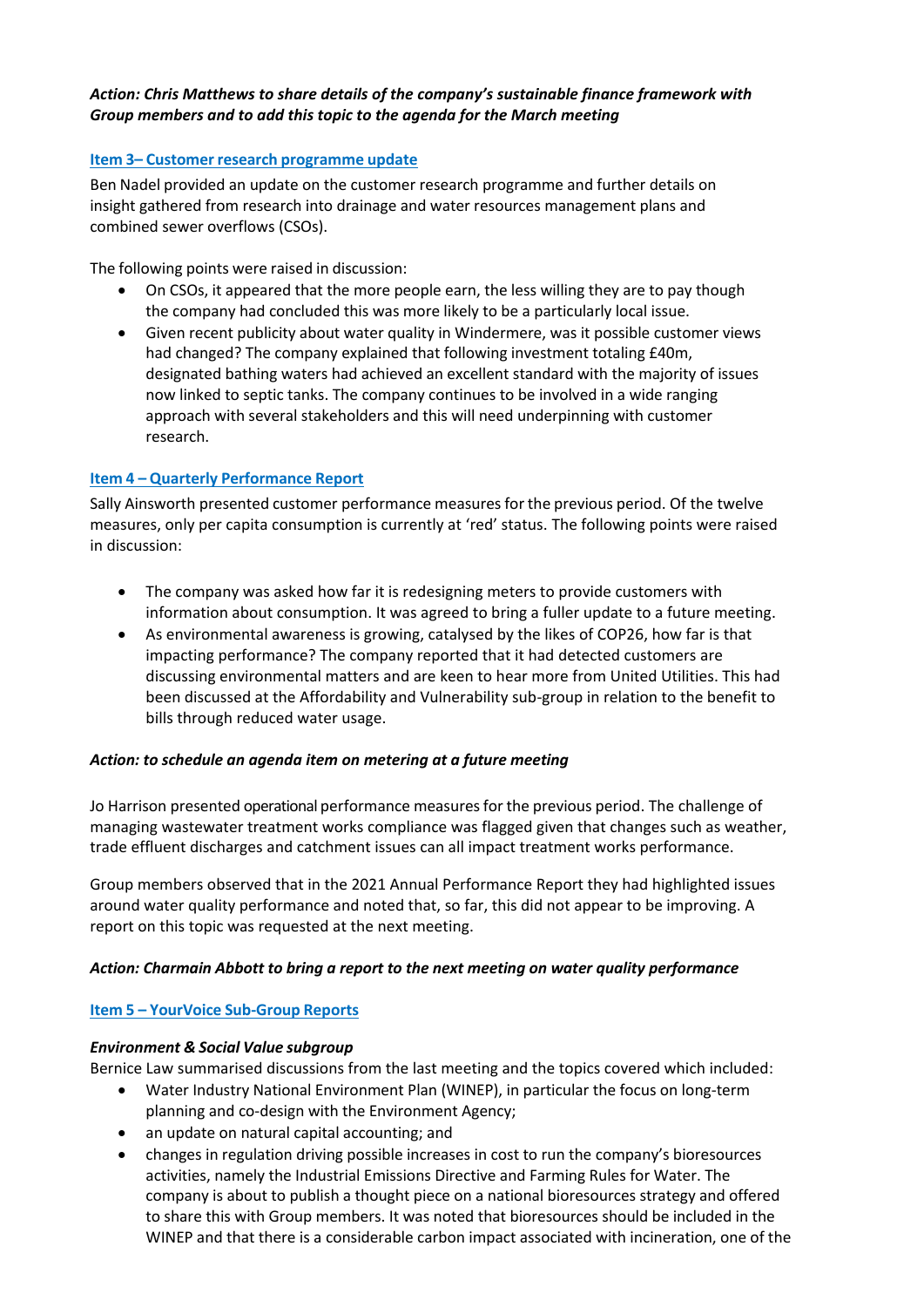## *Action: Chris Matthews to share details of the company's sustainable finance framework with Group members and to add this topic to the agenda for the March meeting*

# **Item 3– Customer research programme update**

Ben Nadel provided an update on the customer research programme and further details on insight gathered from research into drainage and water resources management plans and combined sewer overflows (CSOs).

The following points were raised in discussion:

- On CSOs, it appeared that the more people earn, the less willing they are to pay though the company had concluded this was more likely to be a particularly local issue.
- Given recent publicity about water quality in Windermere, was it possible customer views had changed? The company explained that following investment totaling £40m, designated bathing waters had achieved an excellent standard with the majority of issues now linked to septic tanks. The company continues to be involved in a wide ranging approach with several stakeholders and this will need underpinning with customer research.

# **Item 4 – Quarterly Performance Report**

Sally Ainsworth presented customer performance measuresfor the previous period. Of the twelve measures, only per capita consumption is currently at 'red' status. The following points were raised in discussion:

- The company was asked how far it is redesigning meters to provide customers with information about consumption. It was agreed to bring a fuller update to a future meeting.
- As environmental awareness is growing, catalysed by the likes of COP26, how far is that impacting performance? The company reported that it had detected customers are discussing environmental matters and are keen to hear more from United Utilities. This had been discussed at the Affordability and Vulnerability sub-group in relation to the benefit to bills through reduced water usage.

#### *Action: to schedule an agenda item on metering at a future meeting*

Jo Harrison presented operational performance measures for the previous period. The challenge of managing wastewater treatment works compliance was flagged given that changes such as weather, trade effluent discharges and catchment issues can all impact treatment works performance.

Group members observed that in the 2021 Annual Performance Report they had highlighted issues around water quality performance and noted that, so far, this did not appear to be improving. A report on this topic was requested at the next meeting.

# *Action: Charmain Abbott to bring a report to the next meeting on water quality performance*

# **Item 5 – YourVoice Sub-Group Reports**

#### *Environment & Social Value subgroup*

Bernice Law summarised discussions from the last meeting and the topics covered which included:

- Water Industry National Environment Plan (WINEP), in particular the focus on long-term planning and co-design with the Environment Agency;
- an update on natural capital accounting; and
- changes in regulation driving possible increases in cost to run the company's bioresources activities, namely the Industrial Emissions Directive and Farming Rules for Water. The company is about to publish a thought piece on a national bioresources strategy and offered to share this with Group members. It was noted that bioresources should be included in the WINEP and that there is a considerable carbon impact associated with incineration, one of the